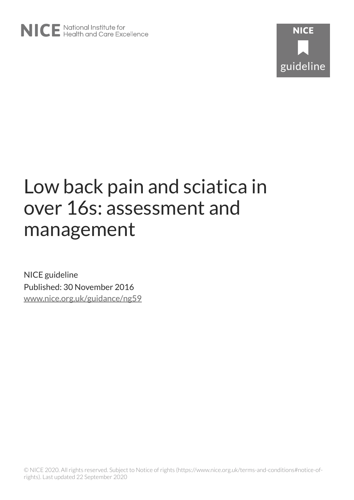# Low back pain and sciatica in over 16s: assessment and management

NICE guideline Published: 30 November 2016 [www.nice.org.uk/guidance/ng59](https://www.nice.org.uk/guidance/ng59)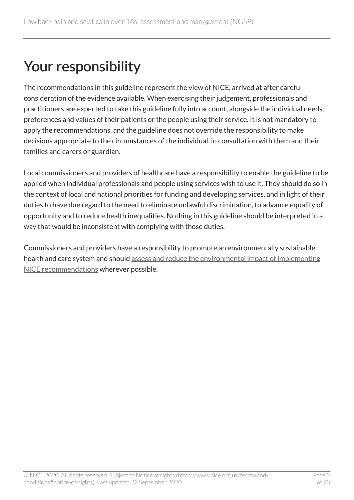# Your responsibility

The recommendations in this guideline represent the view of NICE, arrived at after careful consideration of the evidence available. When exercising their judgement, professionals and practitioners are expected to take this guideline fully into account, alongside the individual needs, preferences and values of their patients or the people using their service. It is not mandatory to apply the recommendations, and the guideline does not override the responsibility to make decisions appropriate to the circumstances of the individual, in consultation with them and their families and carers or guardian.

Local commissioners and providers of healthcare have a responsibility to enable the guideline to be applied when individual professionals and people using services wish to use it. They should do so in the context of local and national priorities for funding and developing services, and in light of their duties to have due regard to the need to eliminate unlawful discrimination, to advance equality of opportunity and to reduce health inequalities. Nothing in this guideline should be interpreted in a way that would be inconsistent with complying with those duties.

Commissioners and providers have a responsibility to promote an environmentally sustainable health and care system and should [assess and reduce the environmental impact of implementing](https://www.nice.org.uk/about/who-we-are/sustainability)  [NICE recommendations](https://www.nice.org.uk/about/who-we-are/sustainability) wherever possible.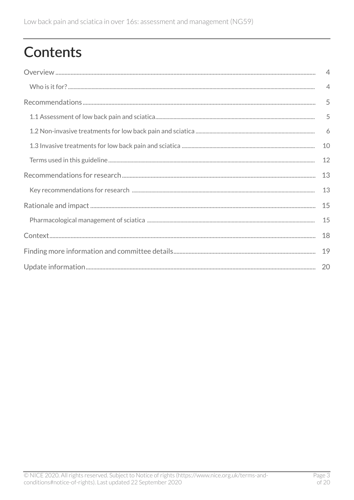# **Contents**

| $\overline{4}$ |
|----------------|
| $\overline{4}$ |
| 5              |
| 5              |
|                |
| 10             |
| 12             |
| 13             |
| 13             |
| 15             |
| 15             |
| 18             |
|                |
|                |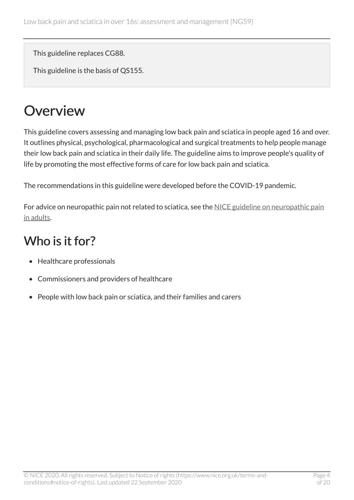This guideline replaces CG88.

This guideline is the basis of QS155.

# <span id="page-3-0"></span>**Overview**

This guideline covers assessing and managing low back pain and sciatica in people aged 16 and over. It outlines physical, psychological, pharmacological and surgical treatments to help people manage their low back pain and sciatica in their daily life. The guideline aims to improve people's quality of life by promoting the most effective forms of care for low back pain and sciatica.

The recommendations in this guideline were developed before the COVID-19 pandemic.

For advice on neuropathic pain not related to sciatica, see the [NICE guideline on neuropathic pain](https://www.nice.org.uk/guidance/cg173) [in adults](https://www.nice.org.uk/guidance/cg173).

## <span id="page-3-1"></span>Who is it for?

- Healthcare professionals
- Commissioners and providers of healthcare
- People with low back pain or sciatica, and their families and carers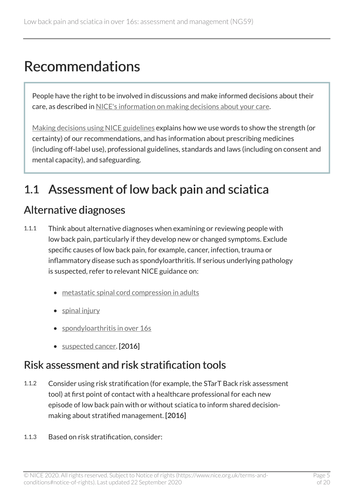# <span id="page-4-0"></span>Recommendations

People have the right to be involved in discussions and make informed decisions about their care, as described in [NICE's information on making decisions about your care](http://www.nice.org.uk/about/nice-communities/public-involvement/your-care).

[Making decisions using NICE guidelines](http://www.nice.org.uk/about/what-we-do/our-programmes/nice-guidance/nice-guidelines/using-NICE-guidelines-to-make-decisions) explains how we use words to show the strength (or certainty) of our recommendations, and has information about prescribing medicines (including off-label use), professional guidelines, standards and laws (including on consent and mental capacity), and safeguarding.

# <span id="page-4-1"></span>1.1 Assessment of low back pain and sciatica

## Alternative diagnoses

- 1.1.1 Think about alternative diagnoses when examining or reviewing people with low back pain, particularly if they develop new or changed symptoms. Exclude specific causes of low back pain, for example, cancer, infection, trauma or inflammatory disease such as spondyloarthritis. If serious underlying pathology is suspected, refer to relevant NICE guidance on:
	- [metastatic spinal cord compression in adults](https://www.nice.org.uk/guidance/cg75)
	- [spinal injury](https://www.nice.org.uk/guidance/ng41)
	- spondyloarthritis in over 16s
	- [suspected cancer](https://www.nice.org.uk/guidance/ng12). [2016]

### Risk assessment and risk stratification tools

- 1.1.2 Consider using risk stratification (for example, the STarT Back risk assessment tool) at first point of contact with a healthcare professional for each new episode of low back pain with or without sciatica to inform shared decisionmaking about stratified management. [2016]
- 1.1.3 Based on risk stratification, consider: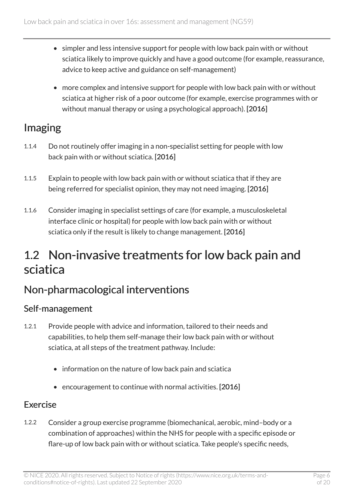- simpler and less intensive support for people with low back pain with or without sciatica likely to improve quickly and have a good outcome (for example, reassurance, advice to keep active and guidance on self-management)
- more complex and intensive support for people with low back pain with or without sciatica at higher risk of a poor outcome (for example, exercise programmes with or without manual therapy or using a psychological approach). [2016]

## Imaging

- 1.1.4 Do not routinely offer imaging in a non-specialist setting for people with low back pain with or without sciatica. [2016]
- 1.1.5 Explain to people with low back pain with or without sciatica that if they are being referred for specialist opinion, they may not need imaging. [2016]
- 1.1.6 Consider imaging in specialist settings of care (for example, a musculoskeletal interface clinic or hospital) for people with low back pain with or without sciatica only if the result is likely to change management. [2016]

## <span id="page-5-0"></span>1.2 Non-invasive treatments for low back pain and sciatica

## Non-pharmacological interventions

#### Self-management

- 1.2.1 Provide people with advice and information, tailored to their needs and capabilities, to help them self-manage their low back pain with or without sciatica, at all steps of the treatment pathway. Include:
	- information on the nature of low back pain and sciatica
	- encouragement to continue with normal activities. [2016]

#### Exercise

1.2.2 Consider a group exercise programme (biomechanical, aerobic, mind–body or a combination of approaches) within the NHS for people with a specific episode or flare-up of low back pain with or without sciatica. Take people's specific needs,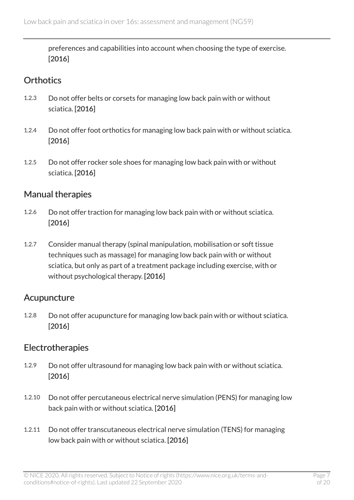preferences and capabilities into account when choosing the type of exercise. [2016]

#### **Orthotics**

- 1.2.3 Do not offer belts or corsets for managing low back pain with or without sciatica. [2016]
- 1.2.4 Do not offer foot orthotics for managing low back pain with or without sciatica. [2016]
- 1.2.5 Do not offer rocker sole shoes for managing low back pain with or without sciatica. [2016]

#### Manual therapies

- 1.2.6 Do not offer traction for managing low back pain with or without sciatica. [2016]
- 1.2.7 Consider manual therapy (spinal manipulation, mobilisation or soft tissue techniques such as massage) for managing low back pain with or without sciatica, but only as part of a treatment package including exercise, with or without psychological therapy. [2016]

#### Acupuncture

1.2.8 Do not offer acupuncture for managing low back pain with or without sciatica. [2016]

#### Electrotherapies

- 1.2.9 Do not offer ultrasound for managing low back pain with or without sciatica. [2016]
- 1.2.10 Do not offer percutaneous electrical nerve simulation (PENS) for managing low back pain with or without sciatica. [2016]
- 1.2.11 Do not offer transcutaneous electrical nerve simulation (TENS) for managing low back pain with or without sciatica. [2016]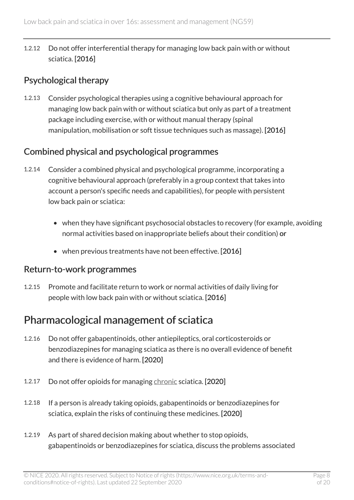1.2.12 Do not offer interferential therapy for managing low back pain with or without sciatica. [2016]

#### Psychological therapy

1.2.13 Consider psychological therapies using a cognitive behavioural approach for managing low back pain with or without sciatica but only as part of a treatment package including exercise, with or without manual therapy (spinal manipulation, mobilisation or soft tissue techniques such as massage). [2016]

#### Combined physical and psychological programmes

- 1.2.14 Consider a combined physical and psychological programme, incorporating a cognitive behavioural approach (preferably in a group context that takes into account a person's specific needs and capabilities), for people with persistent low back pain or sciatica:
	- when they have significant psychosocial obstacles to recovery (for example, avoiding normal activities based on inappropriate beliefs about their condition) or
	- when previous treatments have not been effective. [2016]

#### Return-to-work programmes

1.2.15 Promote and facilitate return to work or normal activities of daily living for people with low back pain with or without sciatica. [2016]

### <span id="page-7-0"></span>Pharmacological management of sciatica

- 1.2.16 Do not offer gabapentinoids, other antiepileptics, oral corticosteroids or benzodiazepines for managing sciatica as there is no overall evidence of benefit and there is evidence of harm. [2020]
- 1.2.17 Do not offer opioids for managing [chronic](#page-11-1) sciatica. [2020]
- 1.2.18 If a person is already taking opioids, gabapentinoids or benzodiazepines for sciatica, explain the risks of continuing these medicines. [2020]
- 1.2.19 As part of shared decision making about whether to stop opioids, gabapentinoids or benzodiazepines for sciatica, discuss the problems associated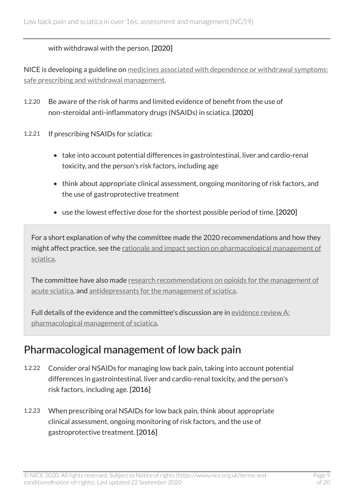#### with withdrawal with the person. [2020]

NICE is developing a guideline on [medicines associated with dependence or withdrawal symptoms:](https://www.nice.org.uk/guidance/indevelopment/gid-ng10141) [safe prescribing and withdrawal management.](https://www.nice.org.uk/guidance/indevelopment/gid-ng10141)

- 1.2.20 Be aware of the risk of harms and limited evidence of benefit from the use of non-steroidal anti-inflammatory drugs (NSAIDs) in sciatica. [2020]
- 1.2.21 If prescribing NSAIDs for sciatica:
	- take into account potential differences in gastrointestinal, liver and cardio-renal toxicity, and the person's risk factors, including age
	- think about appropriate clinical assessment, ongoing monitoring of risk factors, and the use of gastroprotective treatment
	- use the lowest effective dose for the shortest possible period of time. [2020]

For a short explanation of why the committee made the 2020 recommendations and how they might affect practice, see the [rationale and impact section on pharmacological management of](#page-14-1) [sciatica.](#page-14-1)

The committee have also made [research recommendations on opioids for the management of](#page-12-2) [acute sciatica](#page-12-2), and [antidepressants for the management of sciatica.](#page-12-3)

Full details of the evidence and the committee's discussion are in evidence review  $A$ : [pharmacological management of sciatica](https://www.nice.org.uk/guidance/ng59/evidence/a-evidence-review-for-pharmacological-management-of-sciatica-pdf-8841554318).

### Pharmacological management of low back pain

- 1.2.22 Consider oral NSAIDs for managing low back pain, taking into account potential differences in gastrointestinal, liver and cardio-renal toxicity, and the person's risk factors, including age. [2016]
- 1.2.23 When prescribing oral NSAIDs for low back pain, think about appropriate clinical assessment, ongoing monitoring of risk factors, and the use of gastroprotective treatment. [2016]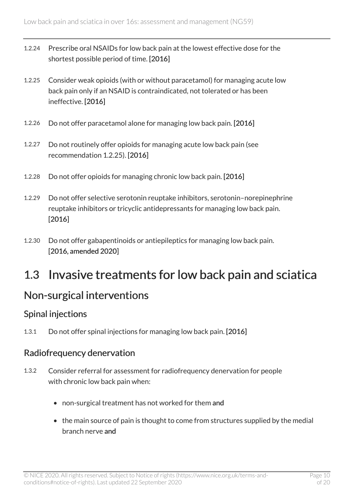- 1.2.24 Prescribe oral NSAIDs for low back pain at the lowest effective dose for the shortest possible period of time. [2016]
- 1.2.25 Consider weak opioids (with or without paracetamol) for managing acute low back pain only if an NSAID is contraindicated, not tolerated or has been ineffective. [2016]
- 1.2.26 Do not offer paracetamol alone for managing low back pain. [2016]
- 1.2.27 Do not routinely offer opioids for managing acute low back pain (see recommendation 1.2.25). [2016]
- 1.2.28 Do not offer opioids for managing chronic low back pain. [2016]
- 1.2.29 Do not offer selective serotonin reuptake inhibitors, serotonin–norepinephrine reuptake inhibitors or tricyclic antidepressants for managing low back pain. [2016]
- 1.2.30 Do not offer gabapentinoids or antiepileptics for managing low back pain. [2016, amended 2020]

## <span id="page-9-0"></span>1.3 Invasive treatments for low back pain and sciatica

### Non-surgical interventions

#### Spinal injections

1.3.1 Do not offer spinal injections for managing low back pain. [2016]

#### Radiofrequency denervation

- 1.3.2 Consider referral for assessment for radiofrequency denervation for people with chronic low back pain when:
	- non-surgical treatment has not worked for them and
	- the main source of pain is thought to come from structures supplied by the medial branch nerve and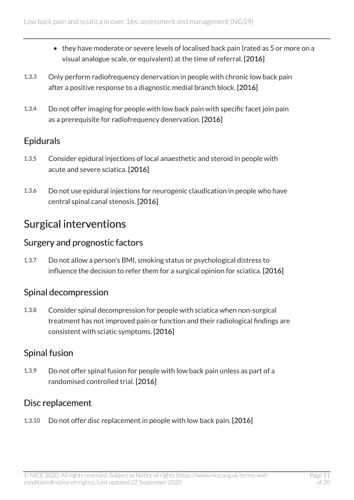- they have moderate or severe levels of localised back pain (rated as 5 or more on a visual analogue scale, or equivalent) at the time of referral. [2016]
- 1.3.3 Only perform radiofrequency denervation in people with chronic low back pain after a positive response to a diagnostic medial branch block. [2016]
- 1.3.4 Do not offer imaging for people with low back pain with specific facet join pain as a prerequisite for radiofrequency denervation. [2016]

#### Epidurals

- 1.3.5 Consider epidural injections of local anaesthetic and steroid in people with acute and severe sciatica. [2016]
- 1.3.6 Do not use epidural injections for neurogenic claudication in people who have central spinal canal stenosis. [2016]

### Surgical interventions

#### Surgery and prognostic factors

1.3.7 Do not allow a person's BMI, smoking status or psychological distress to influence the decision to refer them for a surgical opinion for sciatica. [2016]

#### Spinal decompression

1.3.8 Consider spinal decompression for people with sciatica when non-surgical treatment has not improved pain or function and their radiological findings are consistent with sciatic symptoms. [2016]

#### Spinal fusion

1.3.9 Do not offer spinal fusion for people with low back pain unless as part of a randomised controlled trial. [2016]

#### Disc replacement

1.3.10 Do not offer disc replacement in people with low back pain. [2016]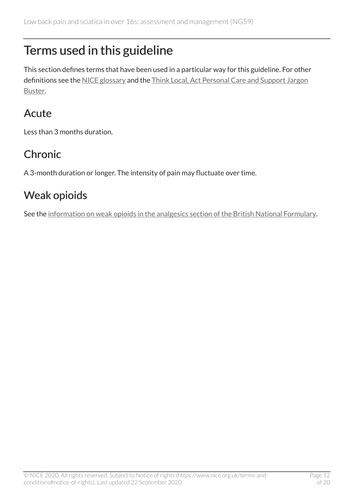# <span id="page-11-0"></span>Terms used in this guideline

This section defines terms that have been used in a particular way for this guideline. For other definitions see the [NICE glossary](https://www.nice.org.uk/glossary) and the [Think Local, Act Personal Care and Support Jargon](http://www.thinklocalactpersonal.org.uk/Browse/Informationandadvice/CareandSupportJargonBuster/) [Buster](http://www.thinklocalactpersonal.org.uk/Browse/Informationandadvice/CareandSupportJargonBuster/).

## Acute

Less than 3 months duration.

# <span id="page-11-1"></span>Chronic

A 3-month duration or longer. The intensity of pain may fluctuate over time.

## Weak opioids

See the [information on weak opioids in the analgesics section of the British National Formulary.](https://bnf.nice.org.uk/treatment-summary/analgesics.html)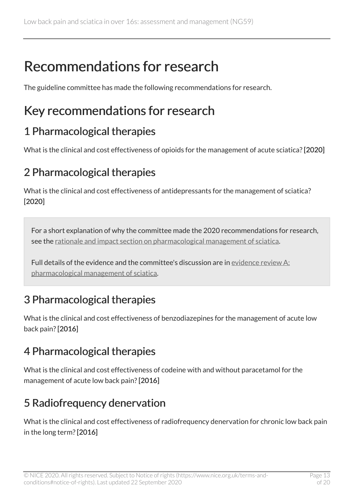# <span id="page-12-0"></span>Recommendations for research

The guideline committee has made the following recommendations for research.

# <span id="page-12-1"></span>Key recommendations for research

### <span id="page-12-2"></span>1 Pharmacological therapies

What is the clinical and cost effectiveness of opioids for the management of acute sciatica? [2020]

### <span id="page-12-3"></span>2 Pharmacological therapies

What is the clinical and cost effectiveness of antidepressants for the management of sciatica? [2020]

For a short explanation of why the committee made the 2020 recommendations for research, see the [rationale and impact section on pharmacological management of sciatica](#page-14-1).

Full details of the evidence and the committee's discussion are in [evidence review A:](https://www.nice.org.uk/guidance/ng59/evidence/a-evidence-review-for-pharmacological-management-of-sciatica-pdf-8841554318)  [pharmacological management of sciatica](https://www.nice.org.uk/guidance/ng59/evidence/a-evidence-review-for-pharmacological-management-of-sciatica-pdf-8841554318).

## 3 Pharmacological therapies

What is the clinical and cost effectiveness of benzodiazepines for the management of acute low back pain? [2016]

## 4 Pharmacological therapies

What is the clinical and cost effectiveness of codeine with and without paracetamol for the management of acute low back pain? [2016]

## 5 Radiofrequency denervation

What is the clinical and cost effectiveness of radiofrequency denervation for chronic low back pain in the long term? [2016]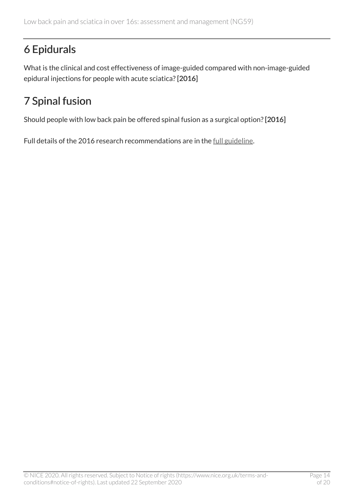# 6 Epidurals

What is the clinical and cost effectiveness of image-guided compared with non-image-guided epidural injections for people with acute sciatica? [2016]

## 7 Spinal fusion

Should people with low back pain be offered spinal fusion as a surgical option? [2016]

Full details of the 2016 research recommendations are in the [full guideline.](https://www.nice.org.uk/guidance/ng59/evidence)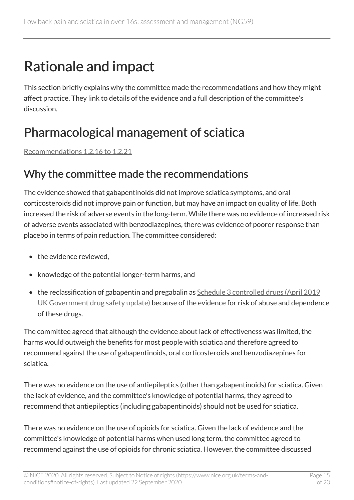# <span id="page-14-0"></span>Rationale and impact

This section briefly explains why the committee made the recommendations and how they might affect practice. They link to details of the evidence and a full description of the committee's discussion.

# <span id="page-14-1"></span>Pharmacological management of sciatica

[Recommendations 1.2.16 to 1.2.21](#page-7-0) 

### Why the committee made the recommendations

The evidence showed that gabapentinoids did not improve sciatica symptoms, and oral corticosteroids did not improve pain or function, but may have an impact on quality of life. Both increased the risk of adverse events in the long-term. While there was no evidence of increased risk of adverse events associated with benzodiazepines, there was evidence of poorer response than placebo in terms of pain reduction. The committee considered:

- the evidence reviewed.
- knowledge of the potential longer-term harms, and
- the reclassification of gabapentin and pregabalin as Schedule 3 controlled drugs (April 2019 [UK Government drug safety update\)](https://www.gov.uk/drug-safety-update/pregabalin-lyrica-gabapentin-neurontin-and-risk-of-abuse-and-dependence-new-scheduling-requirements-from-1-april) because of the evidence for risk of abuse and dependence of these drugs.

The committee agreed that although the evidence about lack of effectiveness was limited, the harms would outweigh the benefits for most people with sciatica and therefore agreed to recommend against the use of gabapentinoids, oral corticosteroids and benzodiazepines for sciatica.

There was no evidence on the use of antiepileptics (other than gabapentinoids) for sciatica. Given the lack of evidence, and the committee's knowledge of potential harms, they agreed to recommend that antiepileptics (including gabapentinoids) should not be used for sciatica.

There was no evidence on the use of opioids for sciatica. Given the lack of evidence and the committee's knowledge of potential harms when used long term, the committee agreed to recommend against the use of opioids for chronic sciatica. However, the committee discussed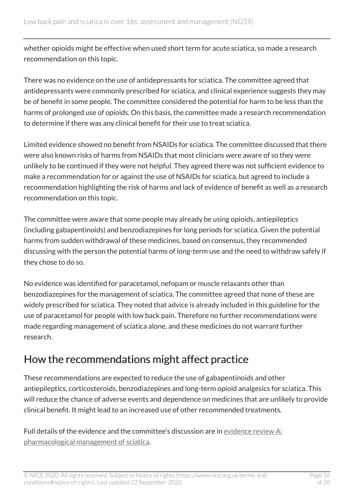whether opioids might be effective when used short term for acute sciatica, so made a research recommendation on this topic.

There was no evidence on the use of antidepressants for sciatica. The committee agreed that antidepressants were commonly prescribed for sciatica, and clinical experience suggests they may be of benefit in some people. The committee considered the potential for harm to be less than the harms of prolonged use of opioids. On this basis, the committee made a research recommendation to determine if there was any clinical benefit for their use to treat sciatica.

Limited evidence showed no benefit from NSAIDs for sciatica. The committee discussed that there were also known risks of harms from NSAIDs that most clinicians were aware of so they were unlikely to be continued if they were not helpful. They agreed there was not sufficient evidence to make a recommendation for or against the use of NSAIDs for sciatica, but agreed to include a recommendation highlighting the risk of harms and lack of evidence of benefit as well as a research recommendation on this topic.

The committee were aware that some people may already be using opioids, antiepileptics (including gabapentinoids) and benzodiazepines for long periods for sciatica. Given the potential harms from sudden withdrawal of these medicines, based on consensus, they recommended discussing with the person the potential harms of long-term use and the need to withdraw safely if they chose to do so.

No evidence was identified for paracetamol, nefopam or muscle relaxants other than benzodiazepines for the management of sciatica. The committee agreed that none of these are widely prescribed for sciatica. They noted that advice is already included in this guideline for the use of paracetamol for people with low back pain. Therefore no further recommendations were made regarding management of sciatica alone, and these medicines do not warrant further research.

## How the recommendations might affect practice

These recommendations are expected to reduce the use of gabapentinoids and other antiepileptics, corticosteroids, benzodiazepines and long-term opioid analgesics for sciatica. This will reduce the chance of adverse events and dependence on medicines that are unlikely to provide clinical benefit. It might lead to an increased use of other recommended treatments.

Full details of the evidence and the committee's discussion are in [evidence review](https://www.nice.org.uk/guidance/ng59/evidence/a-evidence-review-for-pharmacological-management-of-sciatica-pdf-8841554318)  $A$ : [pharmacological management of sciatica](https://www.nice.org.uk/guidance/ng59/evidence/a-evidence-review-for-pharmacological-management-of-sciatica-pdf-8841554318).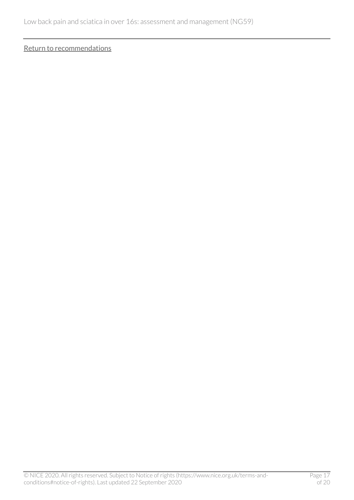[Return to recommendations](#page-7-0)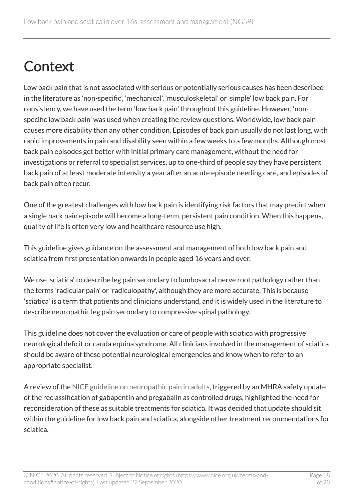# <span id="page-17-0"></span>**Context**

Low back pain that is not associated with serious or potentially serious causes has been described in the literature as 'non-specific', 'mechanical', 'musculoskeletal' or 'simple' low back pain. For consistency, we have used the term 'low back pain' throughout this guideline. However, 'nonspecific low back pain' was used when creating the review questions. Worldwide, low back pain causes more disability than any other condition. Episodes of back pain usually do not last long, with rapid improvements in pain and disability seen within a few weeks to a few months. Although most back pain episodes get better with initial primary care management, without the need for investigations or referral to specialist services, up to one-third of people say they have persistent back pain of at least moderate intensity a year after an acute episode needing care, and episodes of back pain often recur.

One of the greatest challenges with low back pain is identifying risk factors that may predict when a single back pain episode will become a long-term, persistent pain condition. When this happens, quality of life is often very low and healthcare resource use high.

This guideline gives guidance on the assessment and management of both low back pain and sciatica from first presentation onwards in people aged 16 years and over.

We use 'sciatica' to describe leg pain secondary to lumbosacral nerve root pathology rather than the terms 'radicular pain' or 'radiculopathy', although they are more accurate. This is because 'sciatica' is a term that patients and clinicians understand, and it is widely used in the literature to describe neuropathic leg pain secondary to compressive spinal pathology.

This guideline does not cover the evaluation or care of people with sciatica with progressive neurological deficit or cauda equina syndrome. All clinicians involved in the management of sciatica should be aware of these potential neurological emergencies and know when to refer to an appropriate specialist.

A review of the [NICE guideline on neuropathic pain in adults](https://www.nice.org.uk/guidance/cg173), triggered by an MHRA safety update of the reclassification of gabapentin and pregabalin as controlled drugs, highlighted the need for reconsideration of these as suitable treatments for sciatica. It was decided that update should sit within the guideline for low back pain and sciatica, alongside other treatment recommendations for sciatica.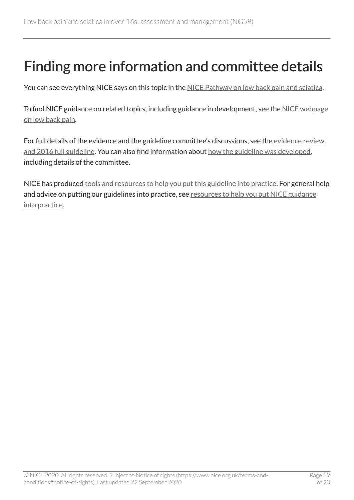# <span id="page-18-0"></span>Finding more information and committee details

You can see everything NICE says on this topic in the [NICE Pathway on low back pain and sciatica](https://pathways.nice.org.uk/pathways/low-back-pain-and-sciatica).

To find NICE guidance on related topics, including guidance in development, see the [NICE webpage](https://www.nice.org.uk/guidance/conditions-and-diseases/musculoskeletal-conditions/low-back-pain) [on low back pain](https://www.nice.org.uk/guidance/conditions-and-diseases/musculoskeletal-conditions/low-back-pain).

For full details of the evidence and the guideline committee's discussions, see the evidence review [and 2016 full guideline](https://www.nice.org.uk/Guidance/NG59/evidence). You can also find information about [how the guideline was developed](https://www.nice.org.uk/Guidance/NG59/documents), including details of the committee.

NICE has produced [tools and resources to help you put this guideline into practice.](https://www.nice.org.uk/guidance/ng59/resources) For general help and advice on putting our guidelines into practice, see [resources to help you put NICE guidance](https://www.nice.org.uk/about/what-we-do/into-practice/resources-help-put-guidance-into-practice) [into practice.](https://www.nice.org.uk/about/what-we-do/into-practice/resources-help-put-guidance-into-practice)